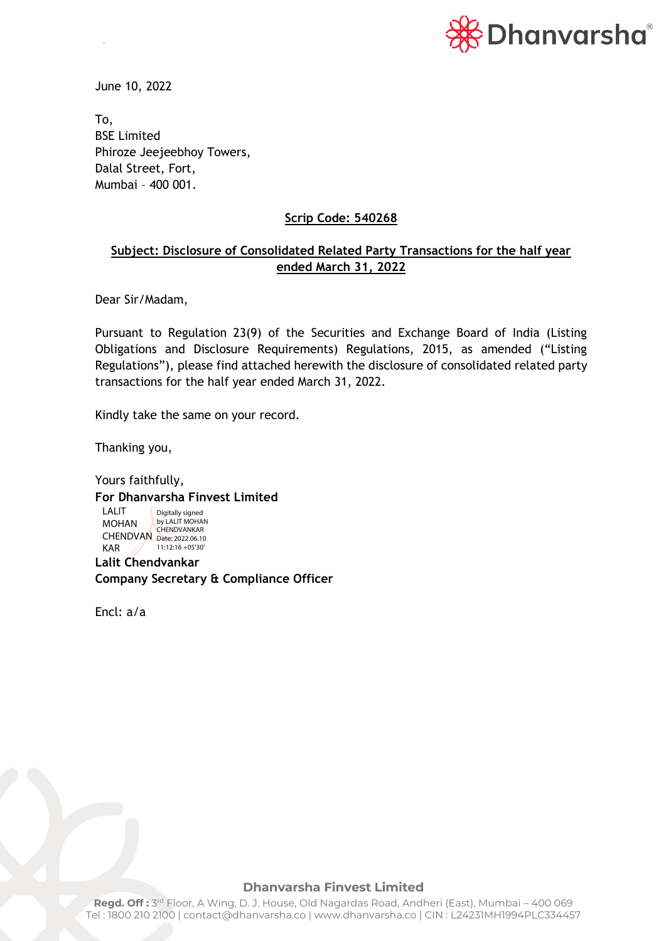

June 10, 2022

`

To, BSE Limited Phiroze Jeejeebhoy Towers, Dalal Street, Fort, Mumbai – 400 001.

## **Scrip Code: 540268**

## **Subject: Disclosure of Consolidated Related Party Transactions for the half year ended March 31, 2022**

Dear Sir/Madam,

Pursuant to Regulation 23(9) of the Securities and Exchange Board of India (Listing Obligations and Disclosure Requirements) Regulations, 2015, as amended ("Listing Regulations"), please find attached herewith the disclosure of consolidated related party transactions for the half year ended March 31, 2022.

Kindly take the same on your record.

Thanking you,

Yours faithfully, **For Dhanvarsha Finvest Limited Lalit Chendvankar Company Secretary & Compliance Officer** LALIT MOHAN CHENDVAN CHENDVANKAR KAR Digitally signed by LALIT MOHAN 11:12:16 +05'30'

Encl: a/a

## **Dhanvarsha Finvest Limited**

**Regd. Off :** 3 rd Floor, A Wing, D. J. House, Old Nagardas Road, Andheri (East), Mumbai – 400 069 Tel : 1800 210 2100 | contact@dhanvarsha.co | www.dhanvarsha.co | CIN : L24231MH1994PLC334457